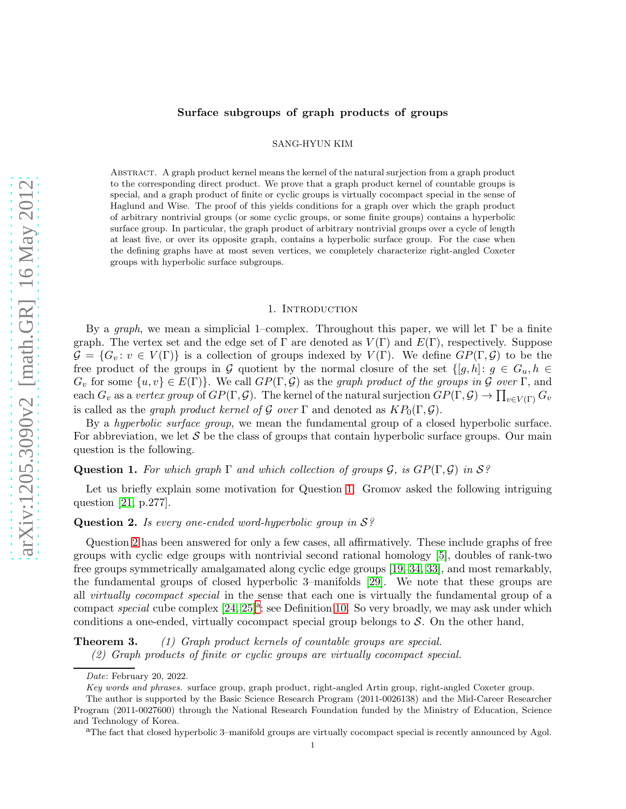## Surface subgroups of graph products of groups

SANG-HYUN KIM

Abstract. A graph product kernel means the kernel of the natural surjection from a graph product to the corresponding direct product. We prove that a graph product kernel of countable groups is special, and a graph product of finite or cyclic groups is virtually cocompact special in the sense of Haglund and Wise. The proof of this yields conditions for a graph over which the graph product of arbitrary nontrivial groups (or some cyclic groups, or some finite groups) contains a hyperbolic surface group. In particular, the graph product of arbitrary nontrivial groups over a cycle of length at least five, or over its opposite graph, contains a hyperbolic surface group. For the case when the defining graphs have at most seven vertices, we completely characterize right-angled Coxeter groups with hyperbolic surface subgroups.

### 1. INTRODUCTION

By a *graph*, we mean a simplicial 1–complex. Throughout this paper, we will let  $\Gamma$  be a finite graph. The vertex set and the edge set of  $\Gamma$  are denoted as  $V(\Gamma)$  and  $E(\Gamma)$ , respectively. Suppose  $\mathcal{G} = \{G_v : v \in V(\Gamma)\}\$ is a collection of groups indexed by  $V(\Gamma)$ . We define  $GP(\Gamma, \mathcal{G})$  to be the free product of the groups in G quotient by the normal closure of the set  $\{[g,h]: g \in G_u, h \in$  $G_v$  for some  $\{u, v\} \in E(\Gamma)$ . We call  $GP(\Gamma, \mathcal{G})$  as the *graph product of the groups in*  $\mathcal{G}$  *over*  $\Gamma$ , and  $\text{each } G_v \text{ as a vertex group of } GP(\Gamma, \mathcal{G}). \text{ The kernal of the natural surjection } GP(\Gamma, \mathcal{G}) \rightarrow \prod_{v \in V(\Gamma)} G_v$ is called as the *graph product kernel of* G *over*  $\Gamma$  and denoted as  $KP_0(\Gamma,\mathcal{G})$ .

By a *hyperbolic surface group*, we mean the fundamental group of a closed hyperbolic surface. For abbreviation, we let  $S$  be the class of groups that contain hyperbolic surface groups. Our main question is the following.

<span id="page-0-0"></span>**Question 1.** For which graph  $\Gamma$  and which collection of groups  $\mathcal{G}$ , is  $GP(\Gamma, \mathcal{G})$  in  $S$ ?

Let us briefly explain some motivation for Question [1.](#page-0-0) Gromov asked the following intriguing question [\[21,](#page-13-0) p.277].

# <span id="page-0-1"></span>Question 2. *Is every one-ended word-hyperbolic group in* S*?*

Question [2](#page-0-1) has been answered for only a few cases, all affirmatively. These include graphs of free groups with cyclic edge groups with nontrivial second rational homology [\[5\]](#page-12-0), doubles of rank-two free groups symmetrically amalgamated along cyclic edge groups [\[19,](#page-13-1) [34,](#page-13-2) [33\]](#page-13-3), and most remarkably, the fundamental groups of closed hyperbolic 3–manifolds [\[29\]](#page-13-4). We note that these groups are all *virtually cocompact special* in the sense that each one is virtually the fundamental group of a comp[a](#page-0-2)ct *special* cube complex  $[24, 25]^a$  $[24, 25]^a$  $[24, 25]^a$ ; see Definition 10. So very broadly, we may ask under which conditions a one-ended, virtually cocompact special group belongs to  $S$ . On the other hand,

Theorem 3. *(1) Graph product kernels of countable groups are special.*

*(2) Graph products of finite or cyclic groups are virtually cocompact special.*

*Date*: February 20, 2022.

*Key words and phrases.* surface group, graph product, right-angled Artin group, right-angled Coxeter group.

The author is supported by the Basic Science Research Program (2011-0026138) and the Mid-Career Researcher Program (2011-0027600) through the National Research Foundation funded by the Ministry of Education, Science and Technology of Korea.

<span id="page-0-2"></span><sup>a</sup>The fact that closed hyperbolic 3–manifold groups are virtually cocompact special is recently announced by Agol.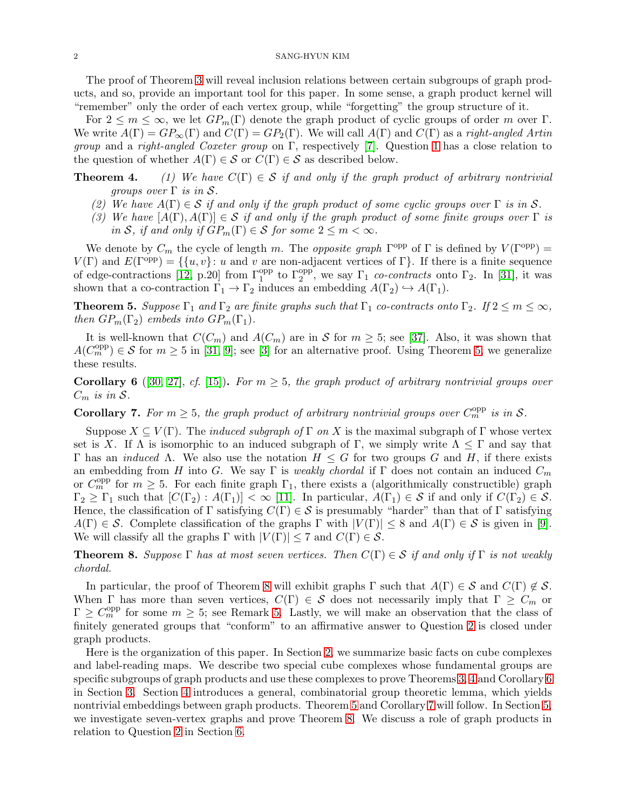The proof of Theorem 3 will reveal inclusion relations between certain subgroups of graph products, and so, provide an important tool for this paper. In some sense, a graph product kernel will "remember" only the order of each vertex group, while "forgetting" the group structure of it.

For  $2 \leq m \leq \infty$ , we let  $GP_m(\Gamma)$  denote the graph product of cyclic groups of order m over  $\Gamma$ . We write  $A(\Gamma) = GP_{\infty}(\Gamma)$  and  $C(\Gamma) = GP_2(\Gamma)$ . We will call  $A(\Gamma)$  and  $C(\Gamma)$  as a *right-angled Artin group* and a *right-angled Coxeter group* on Γ, respectively [\[7\]](#page-13-7). Question [1](#page-0-0) has a close relation to the question of whether  $A(\Gamma) \in \mathcal{S}$  or  $C(\Gamma) \in \mathcal{S}$  as described below.

- **Theorem 4.** (1) We have  $C(\Gamma) \in S$  if and only if the graph product of arbitrary nontrivial *groups over* Γ *is in* S*.*
	- (2) We have  $A(\Gamma) \in S$  *if and only if the graph product of some cyclic groups over*  $\Gamma$  *is in* S.
	- (3) We have  $[A(\Gamma), A(\Gamma)] \in S$  *if and only if the graph product of some finite groups over*  $\Gamma$  *is in* S, *if and only if*  $GP_m(\Gamma) \in S$  *for some*  $2 \leq m < \infty$ *.*

We denote by  $C_m$  the cycle of length m. The *opposite graph*  $\Gamma^{\text{opp}}$  of  $\Gamma$  is defined by  $V(\Gamma^{\text{opp}})$  =  $V(\Gamma)$  and  $E(\Gamma^{\text{opp}}) = \{\{u, v\} : u \text{ and } v \text{ are non-adjacent vertices of } \Gamma\}.$  If there is a finite sequence of edge-contractions [\[12,](#page-13-8) p.20] from  $\Gamma_1^{\text{opp}}$  to  $\Gamma_2^{\text{opp}}$ , we say  $\Gamma_1$  *co-contracts* onto  $\Gamma_2$ . In [\[31\]](#page-13-9), it was shown that a co-contraction  $\Gamma_1 \to \Gamma_2$  induces an embedding  $A(\Gamma_2) \hookrightarrow A(\Gamma_1)$ .

<span id="page-1-0"></span>**Theorem 5.** *Suppose*  $\Gamma_1$  *and*  $\Gamma_2$  *are finite graphs such that*  $\Gamma_1$  *co-contracts onto*  $\Gamma_2$ *. If*  $2 \le m \le \infty$ *, then*  $GP_m(\Gamma_2)$  *embeds into*  $GP_m(\Gamma_1)$ *.* 

It is well-known that  $C(C_m)$  and  $A(C_m)$  are in S for  $m \geq 5$ ; see [\[37\]](#page-14-0). Also, it was shown that  $A(C_m^{\text{opp}}) \in \mathcal{S}$  for  $m \geq 5$  in [\[31,](#page-13-9) [9\]](#page-13-10); see [\[3\]](#page-12-1) for an alternative proof. Using Theorem [5,](#page-1-0) we generalize these results.

<span id="page-1-2"></span>**Corollary 6** ([\[30,](#page-13-11) [27\]](#page-13-12), *cf.* [\[15\]](#page-13-13)). For  $m \geq 5$ , the graph product of arbitrary nontrivial groups over  $C_m$  *is in*  $S$ *.* 

<span id="page-1-3"></span>**Corollary 7.** For  $m \geq 5$ , the graph product of arbitrary nontrivial groups over  $C_m^{\text{opp}}$  is in S.

Suppose  $X \subseteq V(\Gamma)$ . The *induced subgraph of*  $\Gamma$  *on* X is the maximal subgraph of  $\Gamma$  whose vertex set is X. If  $\Lambda$  is isomorphic to an induced subgraph of Γ, we simply write  $\Lambda \leq \Gamma$  and say that Γ has an *induced* Λ. We also use the notation  $H \n\leq G$  for two groups G and H, if there exists an embedding from H into G. We say  $\Gamma$  is *weakly chordal* if  $\Gamma$  does not contain an induced  $C_m$ or  $C_m^{\text{opp}}$  for  $m \geq 5$ . For each finite graph  $\Gamma_1$ , there exists a (algorithmically constructible) graph  $\Gamma_2 \geq \Gamma_1$  such that  $[C(\Gamma_2): A(\Gamma_1)] < \infty$  [\[11\]](#page-13-14). In particular,  $A(\Gamma_1) \in S$  if and only if  $C(\Gamma_2) \in S$ . Hence, the classification of Γ satisfying  $C(\Gamma) \in \mathcal{S}$  is presumably "harder" than that of Γ satisfying  $A(\Gamma) \in \mathcal{S}$ . Complete classification of the graphs  $\Gamma$  with  $|V(\Gamma)| \leq 8$  and  $A(\Gamma) \in \mathcal{S}$  is given in [\[9\]](#page-13-10). We will classify all the graphs  $\Gamma$  with  $|V(\Gamma)| \leq 7$  and  $C(\Gamma) \in \mathcal{S}$ .

<span id="page-1-1"></span>**Theorem 8.** *Suppose*  $\Gamma$  *has at most seven vertices. Then*  $C(\Gamma) \in S$  *if and only if*  $\Gamma$  *is not weakly chordal.*

In particular, the proof of Theorem [8](#page-1-1) will exhibit graphs  $\Gamma$  such that  $A(\Gamma) \in S$  and  $C(\Gamma) \notin S$ . When  $\Gamma$  has more than seven vertices,  $C(\Gamma) \in \mathcal{S}$  does not necessarily imply that  $\Gamma \geq C_m$  or  $\Gamma \geq C_m^{\text{opp}}$  for some  $m \geq 5$ ; see Remark [5.](#page-11-0) Lastly, we will make an observation that the class of finitely generated groups that "conform" to an affirmative answer to Question [2](#page-0-1) is closed under graph products.

Here is the organization of this paper. In Section [2,](#page-2-0) we summarize basic facts on cube complexes and label-reading maps. We describe two special cube complexes whose fundamental groups are specific subgroups of graph products and use these complexes to prove Theorems 3, 4 and Corollary [6](#page-1-2) in Section [3.](#page-3-0) Section [4](#page-6-0) introduces a general, combinatorial group theoretic lemma, which yields nontrivial embeddings between graph products. Theorem [5](#page-1-0) and Corollary [7](#page-1-3) will follow. In Section [5,](#page-7-0) we investigate seven-vertex graphs and prove Theorem [8.](#page-1-1) We discuss a role of graph products in relation to Question [2](#page-0-1) in Section [6.](#page-12-2)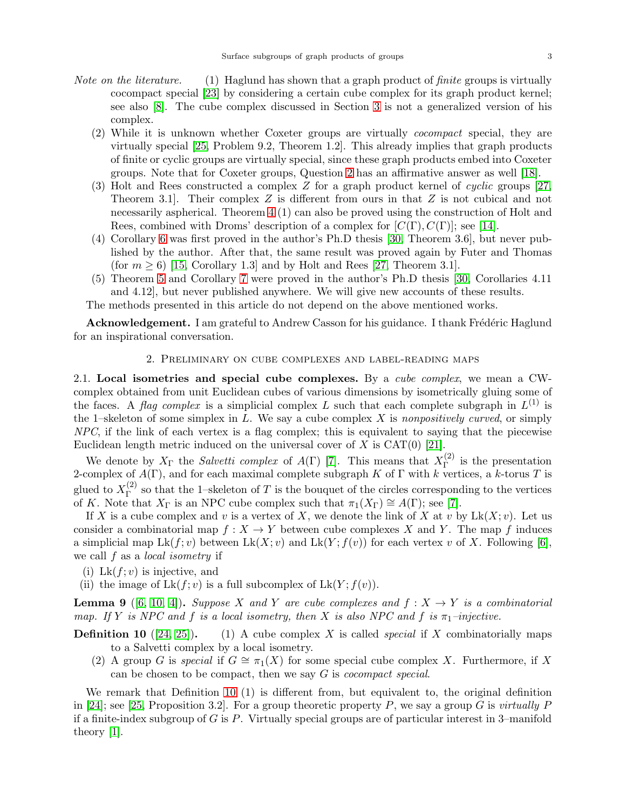- *Note on the literature.* (1) Haglund has shown that a graph product of *finite* groups is virtually cocompact special [\[23\]](#page-13-15) by considering a certain cube complex for its graph product kernel; see also [\[8\]](#page-13-16). The cube complex discussed in Section [3](#page-3-0) is not a generalized version of his complex.
	- (2) While it is unknown whether Coxeter groups are virtually *cocompact* special, they are virtually special [\[25,](#page-13-6) Problem 9.2, Theorem 1.2]. This already implies that graph products of finite or cyclic groups are virtually special, since these graph products embed into Coxeter groups. Note that for Coxeter groups, Question [2](#page-0-1) has an affirmative answer as well [\[18\]](#page-13-17).
	- (3) Holt and Rees constructed a complex Z for a graph product kernel of *cyclic* groups [\[27,](#page-13-12) Theorem 3.1. Their complex  $Z$  is different from ours in that  $Z$  is not cubical and not necessarily aspherical. Theorem 4 (1) can also be proved using the construction of Holt and Rees, combined with Droms' description of a complex for  $[C(\Gamma), C(\Gamma)]$ ; see [\[14\]](#page-13-18).
	- (4) Corollary [6](#page-1-2) was first proved in the author's Ph.D thesis [\[30,](#page-13-11) Theorem 3.6], but never published by the author. After that, the same result was proved again by Futer and Thomas (for  $m > 6$ ) [\[15,](#page-13-13) Corollary 1.3] and by Holt and Rees [\[27,](#page-13-12) Theorem 3.1].
	- (5) Theorem [5](#page-1-0) and Corollary [7](#page-1-3) were proved in the author's Ph.D thesis [\[30,](#page-13-11) Corollaries 4.11 and 4.12], but never published anywhere. We will give new accounts of these results.

The methods presented in this article do not depend on the above mentioned works.

<span id="page-2-0"></span>**Acknowledgement.** I am grateful to Andrew Casson for his guidance. I thank Frédéric Haglund for an inspirational conversation.

# 2. Preliminary on cube complexes and label-reading maps

2.1. Local isometries and special cube complexes. By a *cube complex*, we mean a CWcomplex obtained from unit Euclidean cubes of various dimensions by isometrically gluing some of the faces. A *flag complex* is a simplicial complex L such that each complete subgraph in  $L^{(1)}$  is the 1–skeleton of some simplex in L. We say a cube complex X is *nonpositively curved*, or simply *NPC*, if the link of each vertex is a flag complex; this is equivalent to saying that the piecewise Euclidean length metric induced on the universal cover of  $X$  is  $CAT(0)$  [\[21\]](#page-13-0).

We denote by  $X_{\Gamma}$  the *Salvetti complex* of  $A(\Gamma)$  [\[7\]](#page-13-7). This means that  $X_{\Gamma}^{(2)}$  $\Gamma$ <sup>(2)</sup> is the presentation 2-complex of  $\tilde{A(\Gamma)}$ , and for each maximal complete subgraph K of  $\Gamma$  with k vertices, a k-torus T is glued to  $X_{\Gamma}^{(2)}$  $\Gamma$ <sup>(2)</sup> so that the 1–skeleton of T is the bouquet of the circles corresponding to the vertices of K. Note that  $X_{\Gamma}$  is an NPC cube complex such that  $\pi_1(X_{\Gamma}) \cong A(\Gamma)$ ; see [\[7\]](#page-13-7).

If X is a cube complex and v is a vertex of X, we denote the link of X at v by  $Lk(X; v)$ . Let us consider a combinatorial map  $f : X \to Y$  between cube complexes X and Y. The map f induces a simplicial map  $Lk(f; v)$  between  $Lk(X; v)$  and  $Lk(Y; f(v))$  for each vertex v of X. Following [\[6\]](#page-12-3), we call f as a *local isometry* if

- (i) Lk $(f; v)$  is injective, and
- (ii) the image of  $Lk(f; v)$  is a full subcomplex of  $Lk(Y; f(v))$ .

**Lemma 9** ([\[6,](#page-12-3) [10,](#page-13-19) [4\]](#page-12-4)). *Suppose* X and Y are cube complexes and  $f: X \to Y$  is a combinatorial *map.* If Y *is NPC and* f *is a local isometry, then* X *is also NPC and* f *is*  $\pi_1$ *-injective.* 

- **Definition 10** ([\[24,](#page-13-5) [25\]](#page-13-6)). (1) A cube complex X is called *special* if X combinatorially maps to a Salvetti complex by a local isometry.
	- (2) A group G is *special* if  $G \cong \pi_1(X)$  for some special cube complex X. Furthermore, if X can be chosen to be compact, then we say G is *cocompact special*.

We remark that Definition 10 (1) is different from, but equivalent to, the original definition in [\[24\]](#page-13-5); see [\[25,](#page-13-6) Proposition 3.2]. For a group theoretic property P, we say a group G is *virtually* P if a finite-index subgroup of  $G$  is  $P$ . Virtually special groups are of particular interest in 3–manifold theory [\[1\]](#page-12-5).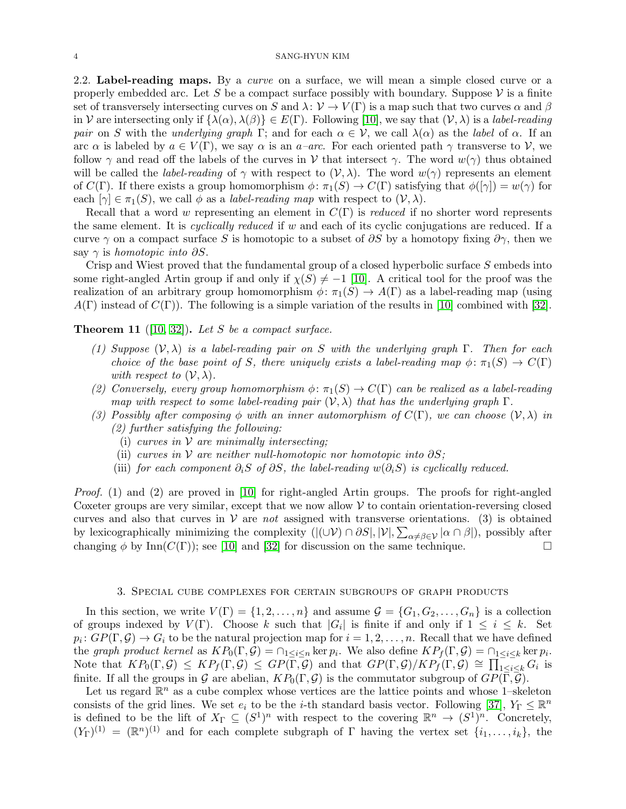2.2. Label-reading maps. By a *curve* on a surface, we will mean a simple closed curve or a properly embedded arc. Let S be a compact surface possibly with boundary. Suppose  $\mathcal V$  is a finite set of transversely intersecting curves on S and  $\lambda: V \to V(\Gamma)$  is a map such that two curves  $\alpha$  and  $\beta$ in V are intersecting only if  $\{\lambda(\alpha), \lambda(\beta)\}\in E(\Gamma)$ . Following [\[10\]](#page-13-19), we say that  $(\mathcal{V}, \lambda)$  is a *label-reading pair* on S with the *underlying graph* Γ; and for each  $\alpha \in V$ , we call  $\lambda(\alpha)$  as the *label* of  $\alpha$ . If an arc  $\alpha$  is labeled by  $a \in V(\Gamma)$ , we say  $\alpha$  is an  $a$ –arc. For each oriented path  $\gamma$  transverse to V, we follow  $\gamma$  and read off the labels of the curves in V that intersect  $\gamma$ . The word  $w(\gamma)$  thus obtained will be called the *label-reading* of  $\gamma$  with respect to  $(\mathcal{V}, \lambda)$ . The word  $w(\gamma)$  represents an element of  $C(\Gamma)$ . If there exists a group homomorphism  $\phi \colon \pi_1(S) \to C(\Gamma)$  satisfying that  $\phi([\gamma]) = w(\gamma)$  for each  $[\gamma] \in \pi_1(S)$ , we call  $\phi$  as a *label-reading map* with respect to  $(\mathcal{V}, \lambda)$ .

Recall that a word w representing an element in C(Γ) is *reduced* if no shorter word represents the same element. It is *cyclically reduced* if w and each of its cyclic conjugations are reduced. If a curve  $\gamma$  on a compact surface S is homotopic to a subset of  $\partial S$  by a homotopy fixing  $\partial \gamma$ , then we say  $\gamma$  is *homotopic into*  $\partial S$ .

Crisp and Wiest proved that the fundamental group of a closed hyperbolic surface S embeds into some right-angled Artin group if and only if  $\chi(S) \neq -1$  [\[10\]](#page-13-19). A critical tool for the proof was the realization of an arbitrary group homomorphism  $\phi: \pi_1(S) \to A(\Gamma)$  as a label-reading map (using  $A(\Gamma)$  instead of  $C(\Gamma)$ ). The following is a simple variation of the results in [\[10\]](#page-13-19) combined with [\[32\]](#page-13-20).

<span id="page-3-1"></span>Theorem 11 ([\[10,](#page-13-19) [32\]](#page-13-20)). *Let* S *be a compact surface.*

- *(1) Suppose* (V, λ) *is a label-reading pair on* S *with the underlying graph* Γ*. Then for each choice of the base point of* S, there uniquely exists a label-reading map  $\phi$ :  $\pi_1(S) \to C(\Gamma)$ *with respect to*  $(\mathcal{V}, \lambda)$ *.*
- (2) Conversely, every group homomorphism  $\phi \colon \pi_1(S) \to C(\Gamma)$  can be realized as a label-reading *map with respect to some label-reading pair*  $(\mathcal{V}, \lambda)$  *that has the underlying graph*  $\Gamma$ *.*
- (3) Possibly after composing  $\phi$  with an inner automorphism of  $C(\Gamma)$ , we can choose  $(\mathcal{V}, \lambda)$  in *(2) further satisfying the following:*
	- (i) *curves in* V *are minimally intersecting;*
	- (ii) *curves in*  $V$  *are neither null-homotopic nor homotopic into*  $\partial S$ ;
	- (iii) *for each component*  $\partial_i S$  *of*  $\partial S$ *, the label-reading*  $w(\partial_i S)$  *is cyclically reduced.*

*Proof.* (1) and (2) are proved in [\[10\]](#page-13-19) for right-angled Artin groups. The proofs for right-angled Coxeter groups are very similar, except that we now allow  $\mathcal V$  to contain orientation-reversing closed curves and also that curves in  $V$  are *not* assigned with transverse orientations. (3) is obtained by lexicographically minimizing the complexity  $(|(\cup \mathcal{V}) \cap \partial S|, |\mathcal{V}|, \sum_{\alpha \neq \beta \in \mathcal{V}} |\alpha \cap \beta|)$ , possibly after changing  $\phi$  by Inn( $C(\Gamma)$ ); see [\[10\]](#page-13-19) and [\[32\]](#page-13-20) for discussion on the same technique.

### 3. Special cube complexes for certain subgroups of graph products

<span id="page-3-0"></span>In this section, we write  $V(\Gamma) = \{1, 2, ..., n\}$  and assume  $\mathcal{G} = \{G_1, G_2, ..., G_n\}$  is a collection of groups indexed by  $V(\Gamma)$ . Choose k such that  $|G_i|$  is finite if and only if  $1 \leq i \leq k$ . Set  $p_i\colon GP(\Gamma,\mathcal{G})\to G_i$  to be the natural projection map for  $i=1,2,\ldots,n.$  Recall that we have defined the *graph product kernel* as  $KP_0(\Gamma,\mathcal{G}) = \cap_{1 \leq i \leq n} \ker p_i$ . We also define  $KP_f(\Gamma,\mathcal{G}) = \cap_{1 \leq i \leq k} \ker p_i$ . Note that  $KP_0(\Gamma,\mathcal{G}) \leq KP_f(\Gamma,\mathcal{G}) \leq GP(\overline{\Gamma},\mathcal{G})$  and that  $GP(\Gamma,\mathcal{G})/KP_f(\Gamma,\mathcal{G}) \cong \prod_{1 \leq i \leq k}^{-1} G_i$  is finite. If all the groups in G are abelian,  $KP_0(\Gamma,\mathcal{G})$  is the commutator subgroup of  $GP(\Gamma,\mathcal{G})$ .

Let us regard  $\mathbb{R}^n$  as a cube complex whose vertices are the lattice points and whose 1-skeleton consists of the grid lines. We set  $e_i$  to be the *i*-th standard basis vector. Following [\[37\]](#page-14-0),  $Y_{\Gamma} \leq \mathbb{R}^n$ is defined to be the lift of  $X_{\Gamma} \subseteq (S^1)^n$  with respect to the covering  $\mathbb{R}^n \to (S^1)^n$ . Concretely,  $(Y_{\Gamma})^{(1)} = (\mathbb{R}^n)^{(1)}$  and for each complete subgraph of  $\Gamma$  having the vertex set  $\{i_1, \ldots, i_k\}$ , the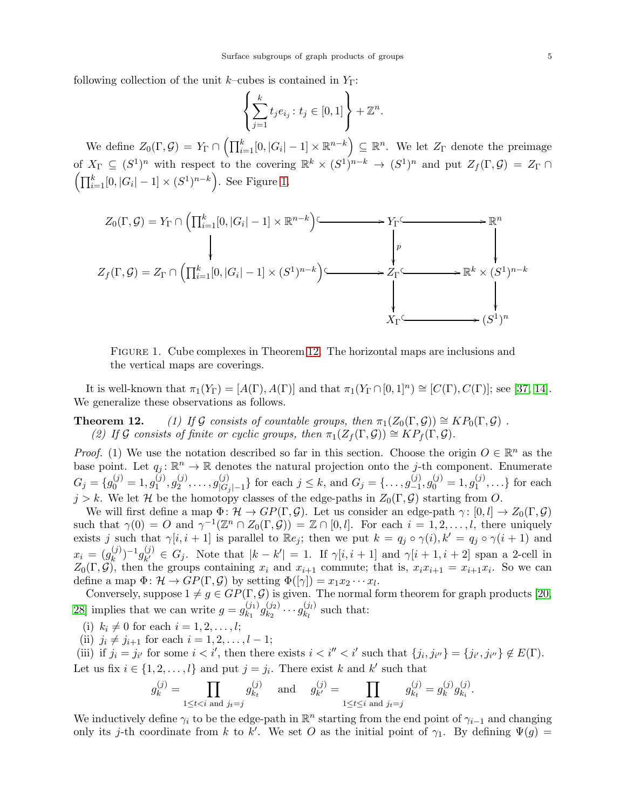following collection of the unit k–cubes is contained in  $Y_{\Gamma}$ :

$$
\left\{\sum_{j=1}^k t_j e_{i_j} : t_j \in [0,1]\right\} + \mathbb{Z}^n.
$$

We define  $Z_0(\Gamma, \mathcal{G}) = Y_{\Gamma} \cap \left( \prod_{i=1}^k [0, |G_i| - 1] \times \mathbb{R}^{n-k} \right) \subseteq \mathbb{R}^n$ . We let  $Z_{\Gamma}$  denote the preimage of  $X_{\Gamma} \subseteq (S^1)^n$  with respect to the covering  $\mathbb{R}^k \times (S^1)^{n-k} \to (S^1)^n$  and put  $Z_f(\Gamma, \mathcal{G}) = Z_{\Gamma} \cap$  $\left( \prod_{i=1}^{k} [0, |G_i| - 1] \times (S^1)^{n-k} \right)$ . See Figure [1.](#page-4-0)

<span id="page-4-0"></span>

Figure 1. Cube complexes in Theorem 12. The horizontal maps are inclusions and the vertical maps are coverings.

It is well-known that  $\pi_1(Y_\Gamma) = [A(\Gamma), A(\Gamma)]$  and that  $\pi_1(Y_\Gamma \cap [0, 1]^n) \cong [C(\Gamma), C(\Gamma)];$  see [\[37,](#page-14-0) [14\]](#page-13-18). We generalize these observations as follows.

**Theorem 12.** *(1) If G consists of countable groups, then*  $\pi_1(Z_0(\Gamma, \mathcal{G})) \cong KP_0(\Gamma, \mathcal{G})$ .  $(2)$  *If* G *consists of finite or cyclic groups, then*  $\pi_1(Z_f(\Gamma, \mathcal{G})) \cong KP_f(\Gamma, \mathcal{G})$ *.* 

*Proof.* (1) We use the notation described so far in this section. Choose the origin  $O \in \mathbb{R}^n$  as the base point. Let  $q_j: \mathbb{R}^n \to \mathbb{R}$  denotes the natural projection onto the j-th component. Enumerate  $G_j = \{g_0^{(j)} = 1, g_1^{(j)}\}$  $\mathfrak{g}_1^{(j)},\mathfrak{g}_2^{(j)}$  $\binom{j}{2},\ldots,g^{(j)}_{|G\rangle}$  $|G_{|G_j|-1}^{(j)}\}$  for each  $j \leq k$ , and  $G_j = \{ \ldots, g_{-1}^{(j)}\}$  $\binom{(j)}{-1}, g_0^{(j)} = 1, g_1^{(j)}$  $\{1^{(j)}, \ldots\}$  for each  $j > k$ . We let H be the homotopy classes of the edge-paths in  $Z_0(\Gamma, \mathcal{G})$  starting from O.

We will first define a map  $\Phi: \mathcal{H} \to GP(\Gamma, \mathcal{G})$ . Let us consider an edge-path  $\gamma: [0, l] \to Z_0(\Gamma, \mathcal{G})$ such that  $\gamma(0) = O$  and  $\gamma^{-1}(\mathbb{Z}^n \cap Z_0(\Gamma, \mathcal{G})) = \mathbb{Z} \cap [0, l]$ . For each  $i = 1, 2, \ldots, l$ , there uniquely exists j such that  $\gamma[i, i + 1]$  is parallel to  $\mathbb{R}e_j$ ; then we put  $k = q_j \circ \gamma(i), k' = q_j \circ \gamma(i + 1)$  and  $x_i = (g_k^{(j)})$  $\binom{(j)}{k}$ <sup>-1</sup> $g^{(j)}_{k'}$  $\chi^{(j)}_{k'} \in G_j$ . Note that  $|k - k'| = 1$ . If  $\gamma[i, i + 1]$  and  $\gamma[i + 1, i + 2]$  span a 2-cell in  $Z_0(\Gamma, \mathcal{G})$ , then the groups containing  $x_i$  and  $x_{i+1}$  commute; that is,  $x_i x_{i+1} = x_{i+1} x_i$ . So we can define a map  $\Phi \colon \mathcal{H} \to GP(\Gamma, \mathcal{G})$  by setting  $\Phi([\gamma]) = x_1 x_2 \cdots x_l$ .

Conversely, suppose  $1 \neq g \in GP(\Gamma, \mathcal{G})$  is given. The normal form theorem for graph products [\[20,](#page-13-21) [28\]](#page-13-22) implies that we can write  $g = g_{k_1}^{(j_1)}$  $\genfrac{(}{)}{0pt}{}{(j_1)}{k_1}g_{k_2}^{(j_2)}$  $\frac{(j_2)}{k_2}\cdots\frac{(j_l)}{k_l}$  $\chi_{kl}^{(Jl)}$  such that:

(i)  $k_i \neq 0$  for each  $i = 1, 2, ..., l;$ 

(ii)  $j_i \neq j_{i+1}$  for each  $i = 1, 2, \ldots, l - 1;$ 

(iii) if  $j_i = j_{i'}$  for some  $i < i'$ , then there exists  $i < i'' < i'$  such that  $\{j_i, j_{i''}\} = \{j_{i'}, j_{i''}\} \notin E(\Gamma)$ . Let us fix  $i \in \{1, 2, ..., l\}$  and put  $j = j_i$ . There exist k and k' such that

$$
g_k^{(j)} = \prod_{1 \le t < i \text{ and } j_t = j} g_{k_t}^{(j)} \quad \text{ and } \quad g_{k'}^{(j)} = \prod_{1 \le t \le i \text{ and } j_t = j} g_{k_t}^{(j)} = g_k^{(j)} g_{k_i}^{(j)}.
$$

We inductively define  $\gamma_i$  to be the edge-path in  $\mathbb{R}^n$  starting from the end point of  $\gamma_{i-1}$  and changing only its j-th coordinate from k to k'. We set O as the initial point of  $\gamma_1$ . By defining  $\Psi(g)$  =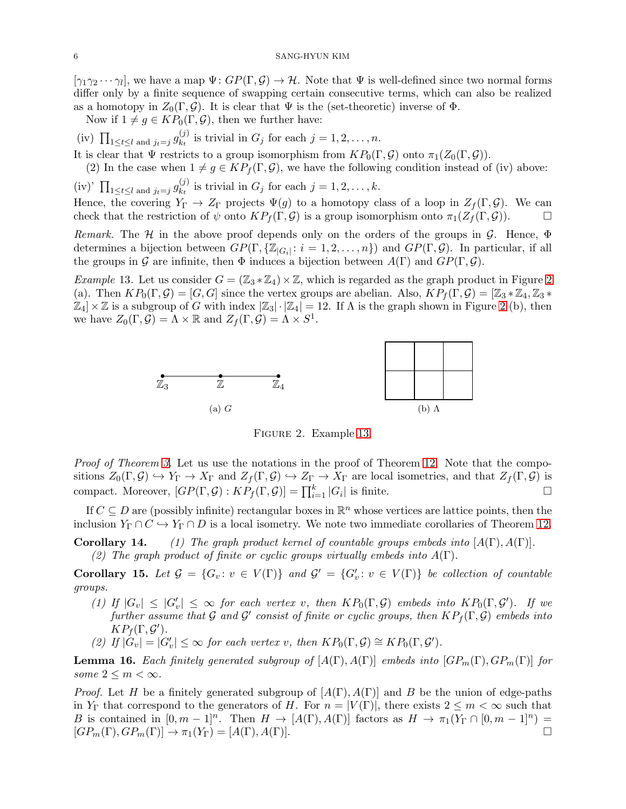$[\gamma_1\gamma_2\cdots\gamma_l]$ , we have a map  $\Psi\colon GP(\Gamma,\mathcal{G})\to\mathcal{H}$ . Note that  $\Psi$  is well-defined since two normal forms differ only by a finite sequence of swapping certain consecutive terms, which can also be realized as a homotopy in  $Z_0(\Gamma, \mathcal{G})$ . It is clear that  $\Psi$  is the (set-theoretic) inverse of  $\Phi$ .

Now if  $1 \neq g \in KP_0(\Gamma, \mathcal{G})$ , then we further have:

(iv)  $\prod_{1 \leq t \leq l \text{ and } j_t = j} g_{k_t}^{(j)}$  $\sum_{k=1}^{(j)}$  is trivial in  $G_j$  for each  $j=1,2,\ldots,n$ .

It is clear that  $\Psi$  restricts to a group isomorphism from  $KP_0(\Gamma, \mathcal{G})$  onto  $\pi_1(Z_0(\Gamma, \mathcal{G}))$ .

(2) In the case when  $1 \neq g \in KP_f(\Gamma, \mathcal{G})$ , we have the following condition instead of (iv) above:

(iv)'  $\prod_{1 \leq t \leq l \text{ and } j_t = j} g_{k_t}^{(j)}$  $\sum_{k=1}^{(j)}$  is trivial in  $G_j$  for each  $j=1,2,\ldots,k$ .

Hence, the covering  $Y_{\Gamma} \to Z_{\Gamma}$  projects  $\Psi(g)$  to a homotopy class of a loop in  $Z_f(\Gamma, \mathcal{G})$ . We can check that the restriction of  $\psi$  onto  $KP_f(\Gamma,\mathcal{G})$  is a group isomorphism onto  $\pi_1(Z_f(\Gamma,\mathcal{G}))$ .

*Remark.* The  $H$  in the above proof depends only on the orders of the groups in  $G$ . Hence,  $\Phi$ determines a bijection between  $GP(\Gamma, \{ \mathbb{Z}_{|G_i|}: i = 1, 2, ..., n \})$  and  $GP(\Gamma, \mathcal{G})$ . In particular, if all the groups in G are infinite, then  $\Phi$  induces a bijection between  $A(\Gamma)$  and  $GP(\Gamma, \mathcal{G})$ .

<span id="page-5-1"></span><span id="page-5-0"></span>*Example* 13. Let us consider  $G = (\mathbb{Z}_3 * \mathbb{Z}_4) \times \mathbb{Z}$ , which is regarded as the graph product in Figure [2](#page-5-0) (a). Then  $KP_0(\Gamma,\mathcal{G})=[G,G]$  since the vertex groups are abelian. Also,  $KP_f(\Gamma,\mathcal{G})=[\mathbb{Z}_3*\mathbb{Z}_4,\mathbb{Z}_3*$  $\mathbb{Z}_4]\times\mathbb{Z}$  is a subgroup of G with index  $|\mathbb{Z}_3|\cdot|\mathbb{Z}_4|=12$ . If  $\Lambda$  is the graph shown in Figure [2](#page-5-0) (b), then we have  $Z_0(\Gamma, \mathcal{G}) = \Lambda \times \mathbb{R}$  and  $Z_f(\Gamma, \mathcal{G}) = \Lambda \times S^1$ .



Figure 2. Example [13.](#page-5-1)

*Proof of Theorem 3.* Let us use the notations in the proof of Theorem 12. Note that the compositions  $Z_0(\Gamma, \mathcal{G}) \hookrightarrow Y_{\Gamma} \to X_{\Gamma}$  and  $Z_f(\Gamma, \mathcal{G}) \hookrightarrow Z_{\Gamma} \to X_{\Gamma}$  are local isometries, and that  $Z_f(\Gamma, \mathcal{G})$  is compact. Moreover,  $[GP(\Gamma, \mathcal{G}) : KP_f(\Gamma, \mathcal{G})] = \prod_{i=1}^k |G_i|$  is finite.

If  $C \subseteq D$  are (possibly infinite) rectangular boxes in  $\mathbb{R}^n$  whose vertices are lattice points, then the inclusion  $Y_{\Gamma} \cap C \hookrightarrow Y_{\Gamma} \cap D$  is a local isometry. We note two immediate corollaries of Theorem 12.

**Corollary 14.** *(1) The graph product kernel of countable groups embeds into*  $[A(\Gamma), A(\Gamma)]$ *. (2) The graph product of finite or cyclic groups virtually embeds into* A(Γ)*.*

<span id="page-5-2"></span>**Corollary 15.** Let  $\mathcal{G} = \{G_v : v \in V(\Gamma) \}$  and  $\mathcal{G}' = \{G'_v : v \in V(\Gamma) \}$  be collection of countable *groups.*

- *(1)* If  $|G_v| \leq |G'_v| \leq \infty$  *for each vertex v, then*  $KP_0(\Gamma, \mathcal{G})$  *embeds into*  $KP_0(\Gamma, \mathcal{G}')$ *. If we*  $further assume that  $G$  and  $G'$  consist of finite or cyclic groups, then  $KP_f(\Gamma, G)$  embeds into$  $KP_f(\Gamma, \mathcal{G}').$
- (2) If  $|\mathring{G}_v| = |G'_v| \leq \infty$  for each vertex v, then  $KP_0(\Gamma, \mathcal{G}) \cong KP_0(\Gamma, \mathcal{G}')$ .

<span id="page-5-3"></span>**Lemma 16.** Each finitely generated subgroup of  $[A(\Gamma), A(\Gamma)]$  embeds into  $[GP_m(\Gamma), GP_m(\Gamma)]$  for *some*  $2 \leq m < \infty$ *.* 

*Proof.* Let H be a finitely generated subgroup of  $[A(\Gamma), A(\Gamma)]$  and B be the union of edge-paths in Y<sub>Γ</sub> that correspond to the generators of H. For  $n = |V(\Gamma)|$ , there exists  $2 \le m < \infty$  such that B is contained in  $[0, m-1]^n$ . Then  $H \to [A(\Gamma), A(\Gamma)]$  factors as  $H \to \pi_1(Y_{\Gamma} \cap [0, m-1]^n) =$  $[GP_m(\Gamma), GP_m(\Gamma)] \rightarrow \pi_1(Y_{\Gamma}) = [A(\Gamma), A(\Gamma)].$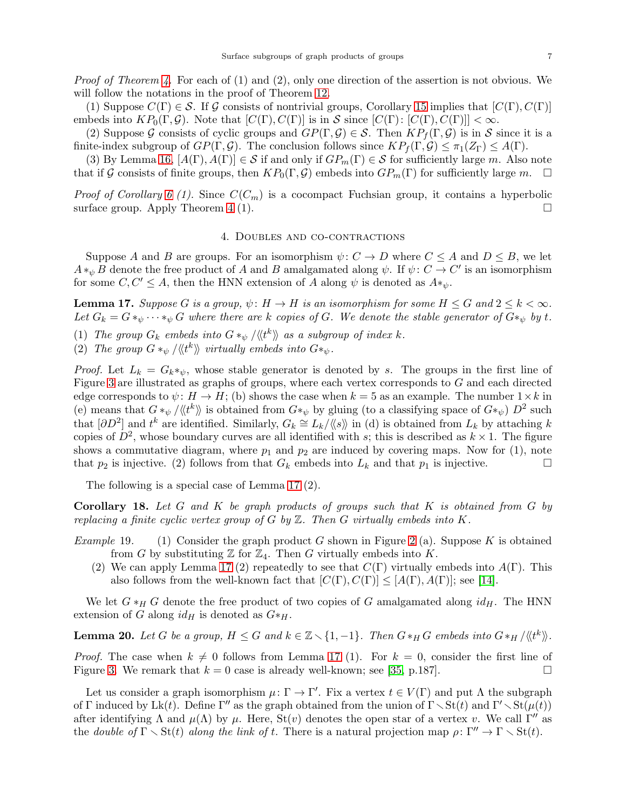*Proof of Theorem 4.* For each of (1) and (2), only one direction of the assertion is not obvious. We will follow the notations in the proof of Theorem 12.

(1) Suppose  $C(\Gamma) \in \mathcal{S}$ . If G consists of nontrivial groups, Corollary [15](#page-5-2) implies that  $[C(\Gamma), C(\Gamma)]$ embeds into  $KP_0(\Gamma,\mathcal{G})$ . Note that  $[C(\Gamma),C(\Gamma)]$  is in S since  $[C(\Gamma):[C(\Gamma),C(\Gamma)]] < \infty$ .

(2) Suppose G consists of cyclic groups and  $GP(\Gamma, \mathcal{G}) \in \mathcal{S}$ . Then  $KP_f(\Gamma, \mathcal{G})$  is in S since it is a finite-index subgroup of  $GP(\Gamma, \mathcal{G})$ . The conclusion follows since  $KP_f(\Gamma, \mathcal{G}) \leq \pi_1(Z_{\Gamma}) \leq A(\Gamma)$ .

(3) By Lemma [16,](#page-5-3)  $[A(\Gamma), A(\Gamma)] \in S$  if and only if  $GP_m(\Gamma) \in S$  for sufficiently large m. Also note that if G consists of finite groups, then  $KP_0(\Gamma,\mathcal{G})$  embeds into  $GP_m(\Gamma)$  for sufficiently large m.  $\Box$ 

<span id="page-6-0"></span>*Proof of Corollary* [6](#page-1-2) (1). Since  $C(C_m)$  is a cocompact Fuchsian group, it contains a hyperbolic surface group. Apply Theorem 4 (1).

### 4. Doubles and co-contractions

Suppose A and B are groups. For an isomorphism  $\psi: C \to D$  where  $C \leq A$  and  $D \leq B$ , we let  $A *_\psi B$  denote the free product of A and B amalgamated along  $\psi$ . If  $\psi: C \to C'$  is an isomorphism for some  $C, C' \leq A$ , then the HNN extension of A along  $\psi$  is denoted as  $A*_\psi$ .

<span id="page-6-1"></span>**Lemma 17.** *Suppose* G *is a group,*  $\psi: H \to H$  *is an isomorphism for some*  $H \leq G$  *and*  $2 \leq k < \infty$ *. Let*  $G_k = G *_{\psi} \cdots *_{\psi} G$  *where there are* k *copies of* G. We denote the stable generator of  $G *_{\psi}$  by t. (1) The group  $G_k$  embeds into  $G *_{\psi} / \langle \langle t^k \rangle \rangle$  as a subgroup of index k.

(2) The group  $G *_{\psi} / \langle \langle t^k \rangle \rangle$  virtually embeds into  $G *_{\psi}$ .

*Proof.* Let  $L_k = G_k *_{\psi}$ , whose stable generator is denoted by s. The groups in the first line of Figure [3](#page-7-1) are illustrated as graphs of groups, where each vertex corresponds to G and each directed edge corresponds to  $\psi: H \to H$ ; (b) shows the case when  $k = 5$  as an example. The number  $1 \times k$  in (e) means that  $G *_{\psi}/\langle\langle t^k \rangle\rangle$  is obtained from  $G *_{\psi}$  by gluing (to a classifying space of  $G *_{\psi} D^2$  such that  $[\partial D^2]$  and  $t^k$  are identified. Similarly,  $G_k \cong L_k/\langle\langle s \rangle\rangle$  in (d) is obtained from  $L_k$  by attaching k copies of  $D^2$ , whose boundary curves are all identified with s; this is described as  $k \times 1$ . The figure shows a commutative diagram, where  $p_1$  and  $p_2$  are induced by covering maps. Now for (1), note that  $p_2$  is injective. (2) follows from that  $G_k$  embeds into  $L_k$  and that  $p_1$  is injective.

The following is a special case of Lemma [17](#page-6-1) (2).

Corollary 18. *Let* G *and* K *be graph products of groups such that* K *is obtained from* G *by replacing a finite cyclic vertex group of* G *by* Z*. Then* G *virtually embeds into* K*.*

- *Example* 19. (1) Consider the graph product G shown in Figure [2](#page-5-0) (a). Suppose K is obtained from G by substituting  $\mathbb Z$  for  $\mathbb Z_4$ . Then G virtually embeds into K.
	- (2) We can apply Lemma [17](#page-6-1) (2) repeatedly to see that  $C(\Gamma)$  virtually embeds into  $A(\Gamma)$ . This also follows from the well-known fact that  $[C(\Gamma), C(\Gamma)] \leq [A(\Gamma), A(\Gamma)]$ ; see [\[14\]](#page-13-18).

We let  $G *_{H} G$  denote the free product of two copies of G amalgamated along  $id_{H}$ . The HNN extension of G along  $id_H$  is denoted as  $G*_H$ .

**Lemma 20.** Let G be a group,  $H \leq G$  and  $k \in \mathbb{Z} \setminus \{1, -1\}$ . Then  $G *_H G$  embeds into  $G *_H / \langle \langle t^k \rangle \rangle$ .

*Proof.* The case when  $k \neq 0$  follows from Lemma [17](#page-6-1) (1). For  $k = 0$ , consider the first line of Figure [3.](#page-7-1) We remark that  $k = 0$  case is already well-known; see [\[35,](#page-13-23) p.187].

Let us consider a graph isomorphism  $\mu: \Gamma \to \Gamma'$ . Fix a vertex  $t \in V(\Gamma)$  and put  $\Lambda$  the subgraph of Γ induced by Lk(t). Define Γ'' as the graph obtained from the union of  $\Gamma \setminus \text{St}(t)$  and  $\Gamma' \setminus \text{St}(\mu(t))$ after identifying  $\Lambda$  and  $\mu(\Lambda)$  by  $\mu$ . Here,  $St(v)$  denotes the open star of a vertex v. We call  $\Gamma''$  as the *double of*  $\Gamma \setminus \text{St}(t)$  *along the link of t*. There is a natural projection map  $\rho : \Gamma'' \to \Gamma \setminus \text{St}(t)$ .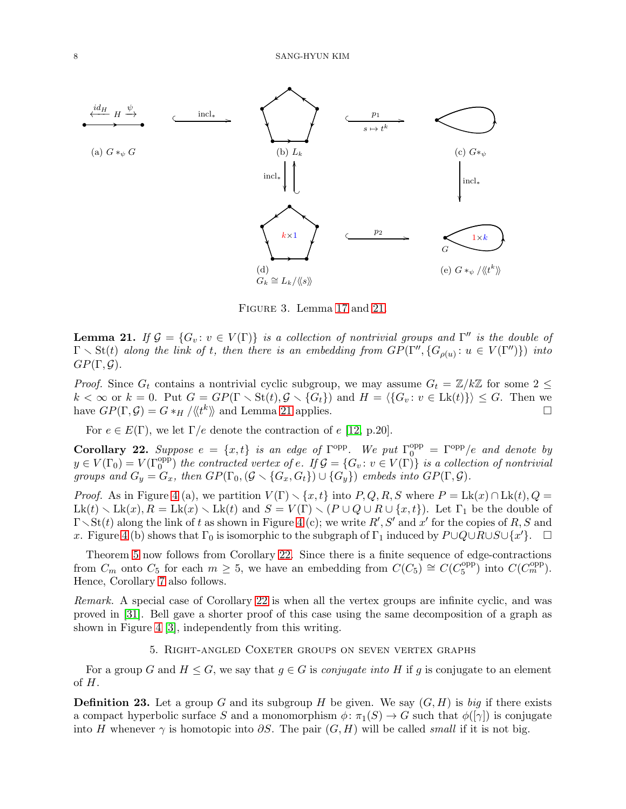<span id="page-7-1"></span>

Figure 3. Lemma [17](#page-6-1) and [21.](#page-7-2)

<span id="page-7-2"></span>**Lemma 21.** If  $\mathcal{G} = \{G_v : v \in V(\Gamma)\}\$  *is a collection of nontrivial groups and*  $\Gamma''$  *is the double of*  $\Gamma \setminus \text{St}(t)$  along the link of t, then there is an embedding from  $GP(\Gamma'', \{G_{\rho(u)}: u \in V(\Gamma'')\})$  into  $GP(\Gamma, \mathcal{G})$ *.* 

*Proof.* Since  $G_t$  contains a nontrivial cyclic subgroup, we may assume  $G_t = \mathbb{Z}/k\mathbb{Z}$  for some  $2 \leq$  $k < \infty$  or  $k = 0$ . Put  $G = GP(\Gamma \setminus \text{St}(t), \mathcal{G} \setminus \{G_t\})$  and  $H = \langle G_v : v \in \text{Lk}(t) \} \rangle \leq G$ . Then we have  $GP(\Gamma, \mathcal{G}) = G *_{H} / \langle \langle t^k \rangle \rangle$  and Lemma [21](#page-7-2) applies.

For  $e \in E(\Gamma)$ , we let  $\Gamma/e$  denote the contraction of e [\[12,](#page-13-8) p.20].

<span id="page-7-3"></span>**Corollary 22.** Suppose  $e = \{x, t\}$  is an edge of  $\Gamma^{\text{opp}}$ . We put  $\Gamma^{\text{opp}}_0 = \Gamma^{\text{opp}}/e$  and denote by  $y \in V(\Gamma_0) = V(\Gamma_0^{\text{opp}})$  the contracted vertex of e. If  $\mathcal{G} = \{G_v : v \in V(\Gamma)\}\$  is a collection of nontrivial *groups and*  $G_y = G_x$ , then  $GP(\Gamma_0, (G \setminus \{G_x, G_t\}) \cup \{G_y\})$  *embeds into*  $GP(\Gamma, \mathcal{G})$ *.* 

*Proof.* As in Figure [4](#page-8-0) (a), we partition  $V(\Gamma) \setminus \{x, t\}$  into  $P, Q, R, S$  where  $P = Lk(x) \cap Lk(t), Q =$  $Lk(t) \setminus Lk(x), R = Lk(x) \setminus Lk(t)$  and  $S = V(\Gamma) \setminus (P \cup Q \cup R \cup \{x, t\})$ . Let  $\Gamma_1$  be the double of  $\Gamma \setminus \text{St}(t)$  along the link of t as shown in Figure [4](#page-8-0) (c); we write  $R', S'$  and  $x'$  for the copies of R, S and x. Figure [4](#page-8-0) (b) shows that  $\Gamma_0$  is isomorphic to the subgraph of  $\Gamma_1$  induced by  $P\cup Q\cup \overline{R}\cup S\cup \{x'\}$ .  $\Box$ 

Theorem [5](#page-1-0) now follows from Corollary [22.](#page-7-3) Since there is a finite sequence of edge-contractions from  $C_m$  onto  $C_5$  for each  $m \geq 5$ , we have an embedding from  $C(C_5) \cong C(C_5^{\text{opp}})$  $\binom{\text{opp}}{5}$  into  $C(C_m^{\text{opp}})$ . Hence, Corollary [7](#page-1-3) also follows.

*Remark.* A special case of Corollary [22](#page-7-3) is when all the vertex groups are infinite cyclic, and was proved in [\[31\]](#page-13-9). Bell gave a shorter proof of this case using the same decomposition of a graph as shown in Figure [4](#page-8-0) [\[3\]](#page-12-1), independently from this writing.

### 5. Right-angled Coxeter groups on seven vertex graphs

<span id="page-7-0"></span>For a group G and  $H \leq G$ , we say that  $g \in G$  is *conjugate into* H if g is conjugate to an element of H.

**Definition 23.** Let a group G and its subgroup H be given. We say  $(G, H)$  is *big* if there exists a compact hyperbolic surface S and a monomorphism  $\phi: \pi_1(S) \to G$  such that  $\phi([\gamma])$  is conjugate into H whenever  $\gamma$  is homotopic into  $\partial S$ . The pair  $(G, H)$  will be called *small* if it is not big.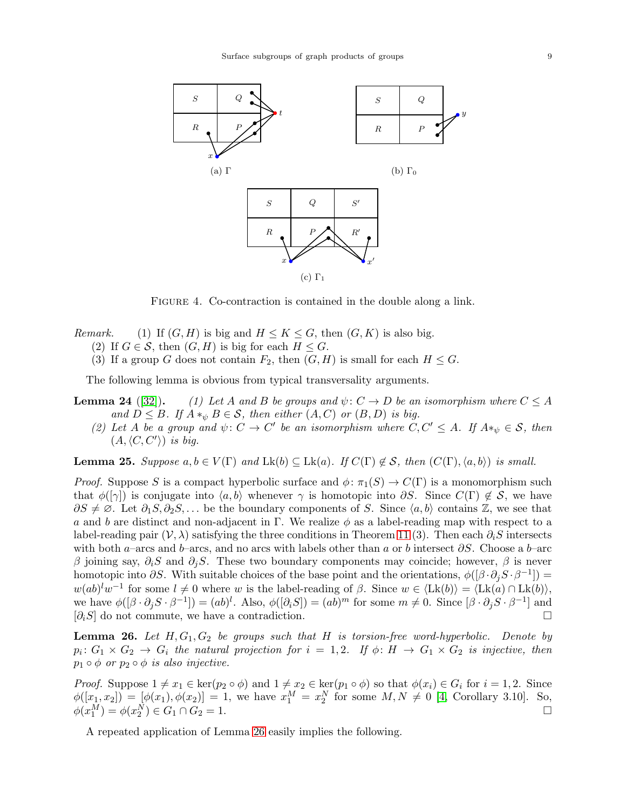<span id="page-8-0"></span>

FIGURE 4. Co-contraction is contained in the double along a link.

- *Remark.* (1) If  $(G, H)$  is big and  $H \leq K \leq G$ , then  $(G, K)$  is also big.
	- (2) If  $G \in \mathcal{S}$ , then  $(G, H)$  is big for each  $H \leq G$ .
	- (3) If a group G does not contain  $F_2$ , then  $(G, H)$  is small for each  $H \leq G$ .

The following lemma is obvious from typical transversality arguments.

- **Lemma 24** ([\[32\]](#page-13-20)). *(1) Let* A and B be groups and  $\psi: C \to D$  be an isomorphism where  $C \leq A$ *and*  $D \leq B$ *. If*  $A *_{\psi} B \in \mathcal{S}$ *, then either*  $(A, C)$  *or*  $(B, D)$  *is big.* 
	- (2) Let A be a group and  $\psi: C \to C'$  be an isomorphism where  $C, C' \leq A$ . If  $A*_\psi \in \mathcal{S}$ , then  $(A, \langle C, C' \rangle)$  *is big.*

<span id="page-8-2"></span>**Lemma 25.** *Suppose*  $a, b \in V(\Gamma)$  *and*  $Lk(b) \subseteq Lk(a)$ *. If*  $C(\Gamma) \notin S$ *, then*  $(C(\Gamma), \langle a, b \rangle)$  *is small.* 

*Proof.* Suppose S is a compact hyperbolic surface and  $\phi$ :  $\pi_1(S) \to C(\Gamma)$  is a monomorphism such that  $\phi([\gamma])$  is conjugate into  $\langle a, b \rangle$  whenever  $\gamma$  is homotopic into  $\partial S$ . Since  $C(\Gamma) \notin \mathcal{S}$ , we have  $\partial S \neq \emptyset$ . Let  $\partial_1 S, \partial_2 S, \ldots$  be the boundary components of S. Since  $\langle a, b \rangle$  contains Z, we see that a and b are distinct and non-adjacent in Γ. We realize  $\phi$  as a label-reading map with respect to a label-reading pair  $(V, \lambda)$  satisfying the three conditions in Theorem [11](#page-3-1) (3). Then each  $\partial_i S$  intersects with both a–arcs and b–arcs, and no arcs with labels other than a or b intersect  $\partial S$ . Choose a b–arc β joining say,  $\partial_i S$  and  $\partial_j S$ . These two boundary components may coincide; however, β is never homotopic into  $\partial S$ . With suitable choices of the base point and the orientations,  $\phi([\beta \cdot \partial_j S \cdot \beta^{-1}]) =$  $w(ab)^{l}w^{-1}$  for some  $l \neq 0$  where w is the label-reading of  $\beta$ . Since  $w \in \langle Lk(b) \rangle = \langle Lk(a) \cap Lk(b) \rangle$ , we have  $\phi([\beta \cdot \partial_j S \cdot \beta^{-1}]) = (ab)^l$ . Also,  $\phi([\partial_i S]) = (ab)^m$  for some  $m \neq 0$ . Since  $[\beta \cdot \partial_j S \cdot \beta^{-1}]$  and  $[\partial_i S]$  do not commute, we have a contradiction.

<span id="page-8-1"></span>Lemma 26. Let  $H, G_1, G_2$  be groups such that H is torsion-free word-hyperbolic. Denote by  $p_i\colon G_1\times G_2\to G_i$  the natural projection for  $i\,=\,1,2.$  If  $\phi\colon H\,\to\, G_1\times G_2$  is injective, then  $p_1 \circ \phi$  *or*  $p_2 \circ \phi$  *is also injective.* 

*Proof.* Suppose  $1 \neq x_1 \in \text{ker}(p_2 \circ \phi)$  and  $1 \neq x_2 \in \text{ker}(p_1 \circ \phi)$  so that  $\phi(x_i) \in G_i$  for  $i = 1, 2$ . Since  $\phi([x_1, x_2]) = [\phi(x_1), \phi(x_2)] = 1$ , we have  $x_1^M = x_2^N$  for some  $M, N \neq 0$  [\[4,](#page-12-4) Corollary 3.10]. So,  $\phi(x_1^M) = \phi(x_2^N) \in G_1 \cap G_2 = 1.$ 

A repeated application of Lemma [26](#page-8-1) easily implies the following.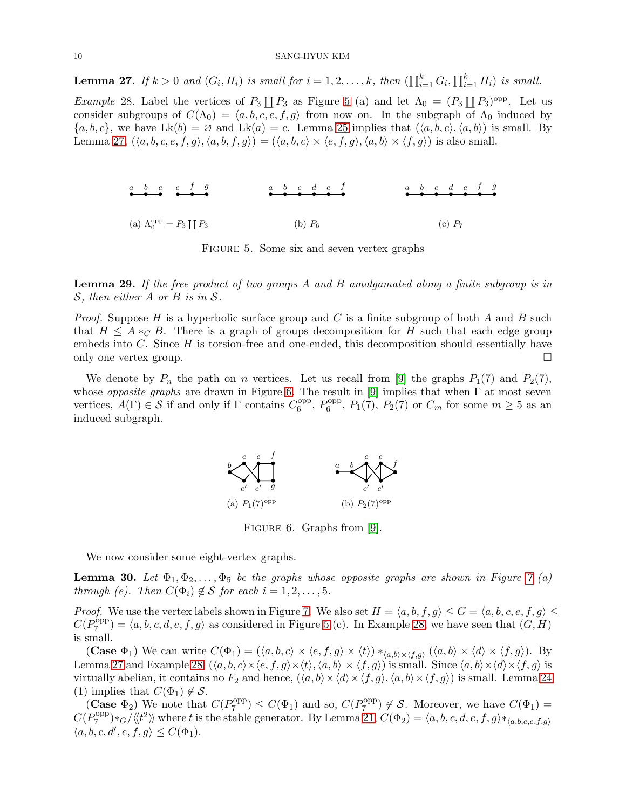<span id="page-9-1"></span>**Lemma 27.** If  $k > 0$  and  $(G_i, H_i)$  is small for  $i = 1, 2, ..., k$ , then  $(\prod_{i=1}^k G_i, \prod_{i=1}^k H_i)$  is small.

<span id="page-9-3"></span><span id="page-9-0"></span>*Example* 28. Label the vertices of  $P_3 \coprod P_3$  as Figure [5](#page-9-0) (a) and let  $\Lambda_0 = (P_3 \coprod P_3)^{\text{opp}}$ . Let us consider subgroups of  $C(\Lambda_0) = \langle a, b, c, e, f, g \rangle$  from now on. In the subgraph of  $\Lambda_0$  induced by  ${a, b, c}$ , we have Lk(b) =  $\emptyset$  and Lk(a) = c. Lemma [25](#page-8-2) implies that  $(\langle a, b, c \rangle, \langle a, b \rangle)$  is small. By Lemma [27,](#page-9-1)  $(\langle a, b, c, e, f, g \rangle, \langle a, b, f, g \rangle) = (\langle a, b, c \rangle \times \langle e, f, g \rangle, \langle a, b \rangle \times \langle f, g \rangle)$  is also small.

| $a$ $b$ $c$ $e$ $f$ $g$                        | $a$ $b$ $c$ $d$ $e$ $f$ | $a$ $b$ $c$ $d$ $e$ $f$ $g$ |
|------------------------------------------------|-------------------------|-----------------------------|
| (a) $\Lambda_0^{\text{opp}} = P_3 \coprod P_3$ | (b) $P_6$               | (c) $P_7$                   |

Figure 5. Some six and seven vertex graphs

<span id="page-9-5"></span>Lemma 29. *If the free product of two groups* A *and* B *amalgamated along a finite subgroup is in* S*, then either* A *or* B *is in* S*.*

*Proof.* Suppose H is a hyperbolic surface group and C is a finite subgroup of both A and B such that  $H \leq A *_{C} B$ . There is a graph of groups decomposition for H such that each edge group embeds into C. Since H is torsion-free and one-ended, this decomposition should essentially have only one vertex group.

<span id="page-9-2"></span>We denote by  $P_n$  the path on n vertices. Let us recall from [\[9\]](#page-13-10) the graphs  $P_1(7)$  and  $P_2(7)$ , whose *opposite graphs* are drawn in Figure [6.](#page-9-2) The result in [\[9\]](#page-13-10) implies that when Γ at most seven vertices,  $A(\Gamma) \in S$  if and only if  $\Gamma$  contains  $C_6^{\text{opp}}$  $_{6}^{\text{opp}}, P_{6}^{\text{opp}}$  $_{6}^{\text{opp}}, P_{1}(7), P_{2}(7) \text{ or } C_{m} \text{ for some } m \geq 5 \text{ as an}$ induced subgraph.



FIGURE 6. Graphs from [\[9\]](#page-13-10).

We now consider some eight-vertex graphs.

<span id="page-9-4"></span>**Lemma 30.** Let  $\Phi_1, \Phi_2, \ldots, \Phi_5$  be the graphs whose opposite graphs are shown in Figure [7](#page-10-0) (a) *through (e).* Then  $C(\Phi_i) \notin S$  *for each*  $i = 1, 2, \ldots, 5$ *.* 

*Proof.* We use the vertex labels shown in Figure [7.](#page-10-0) We also set  $H = \langle a, b, f, g \rangle \le G = \langle a, b, c, e, f, g \rangle \le$  $C(P_7^{\text{opp}})$  $\binom{p}{7} = \langle a, b, c, d, e, f, g \rangle$  as considered in Figure [5](#page-9-0) (c). In Example [28,](#page-9-3) we have seen that  $(G, H)$ is small.

(Case  $\Phi_1$ ) We can write  $C(\Phi_1) = (\langle a, b, c \rangle \times \langle e, f, g \rangle \times \langle t \rangle) *_{\langle a, b \rangle \times \langle f, g \rangle} (\langle a, b \rangle \times \langle d \rangle \times \langle f, g \rangle)$ . By Lemma [27](#page-9-1) and Example [28,](#page-9-3)  $(\langle a, b, c \rangle \times \langle e, f, g \rangle \times \langle t \rangle, \langle a, b \rangle \times \langle f, g \rangle)$  is small. Since  $\langle a, b \rangle \times \langle d \rangle \times \langle f, g \rangle$  is virtually abelian, it contains no  $F_2$  and hence,  $(\langle a, b \rangle \times \langle d \rangle \times \langle f, g \rangle, \langle a, b \rangle \times \langle f, g \rangle)$  is small. Lemma 24 (1) implies that  $C(\Phi_1) \notin \mathcal{S}$ .

(Case  $\Phi_2$ ) We note that  $C(P_7^{\text{opp}})$  $C(P_7^{\text{opp}}) \leq C(\Phi_1)$  and so,  $C(P_7^{\text{opp}})$  $C^{opp}_{7}$ )  $\notin \mathcal{S}$ . Moreover, we have  $C(\Phi_1) =$  $C(P_7^{\text{opp}})$  $\mathcal{L}_{7}^{\text{opp}}(*\mathcal{C}/\langle\langle t^2\rangle\rangle)$  where t is the stable generator. By Lemma [21,](#page-7-2)  $C(\Phi_2)=\langle a,b,c,d,e,f,g\rangle*_{\langle a,b,c,e,f,g\rangle}$  $\langle a, b, c, d', e, f, g \rangle \leq C(\Phi_1).$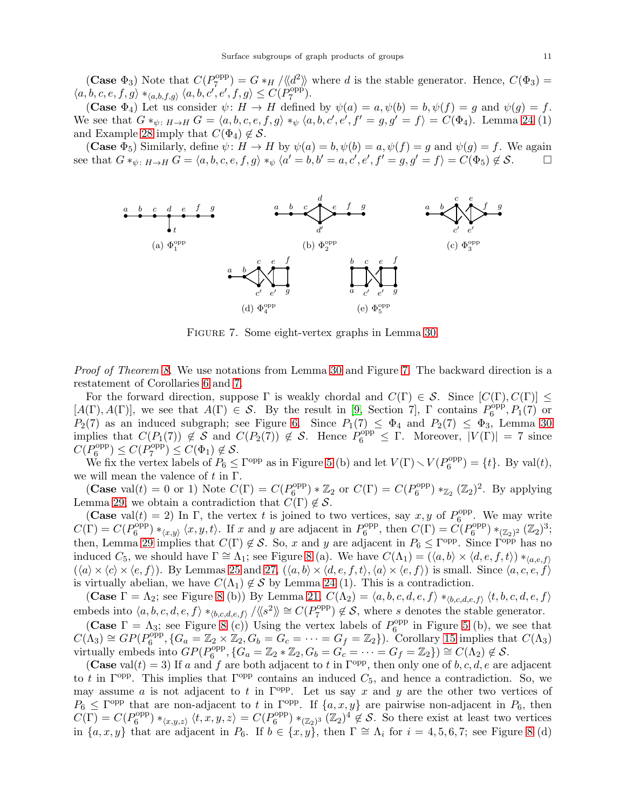(Case  $\Phi_3$ ) Note that  $C(P_7^{\text{opp}})$  $\mathcal{F}_7^{\text{opp}}$  =  $G *_{H} / \langle \langle d^2 \rangle \rangle$  where d is the stable generator. Hence,  $C(\Phi_3)$  =  $\langle a, b, c, e, f, g \rangle *_{\langle a, b, f, g \rangle} \langle a, b, c', e', f, g \rangle \leq C(P^{\mathrm{opp}}_7)$  $\binom{opp}{7}$ .

(Case  $\Phi_4$ ) Let us consider  $\psi: H \to H$  defined by  $\psi(a) = a, \psi(b) = b, \psi(f) = g$  and  $\psi(g) = f$ . We see that  $G *_{\psi \colon H \to H} G = \langle a, b, c, e, f, g \rangle *_{\psi} \langle a, b, c', e', f' = g, g' = f \rangle = C(\Phi_4)$ . Lemma 24 (1) and Example [28](#page-9-3) imply that  $C(\Phi_4) \notin \mathcal{S}$ .

<span id="page-10-0"></span>(Case  $\Phi_5$ ) Similarly, define  $\psi: H \to H$  by  $\psi(a) = b, \psi(b) = a, \psi(f) = g$  and  $\psi(g) = f$ . We again see that  $G *_{\psi \colon H \to H} G = \langle a, b, c, e, f, g \rangle *_{\psi} \langle a' = b, b' = a, c', e', f' = g, g' = f \rangle = C(\Phi_5) \notin \mathcal{S}.$ 



Figure 7. Some eight-vertex graphs in Lemma [30.](#page-9-4)

*Proof of Theorem [8.](#page-1-1)* We use notations from Lemma [30](#page-9-4) and Figure [7.](#page-10-0) The backward direction is a restatement of Corollaries [6](#page-1-2) and [7.](#page-1-3)

For the forward direction, suppose  $\Gamma$  is weakly chordal and  $C(\Gamma) \in \mathcal{S}$ . Since  $[C(\Gamma), C(\Gamma)] \leq$  $[A(\Gamma), A(\Gamma)]$ , we see that  $A(\Gamma) \in S$ . By the result in [\[9,](#page-13-10) Section 7],  $\Gamma$  contains  $P_6^{\text{opp}}$  $P_6^{\text{opp}}, P_1(7)$  or  $P_2(7)$  as an induced subgraph; see Figure [6.](#page-9-2) Since  $P_1(7) \leq \Phi_4$  and  $P_2(7) \leq \Phi_3$ , Lemma [30](#page-9-4) implies that  $C(P_1(7)) \notin S$  and  $C(P_2(7)) \notin S$ . Hence  $P_6^{\text{opp}} \subseteq \Gamma$ . Moreover,  $|V(\Gamma)| = 7$  since  $C(P_6^{\text{opp}})$  $O_6^{\text{opp}}$ )  $\leq C(P_7^{\text{opp}})$  $C(\Phi_1) \notin \mathcal{S}.$ 

We fix the vertex labels of  $P_6 \leq \Gamma^{\text{opp}}$  as in Figure [5](#page-9-0) (b) and let  $V(\Gamma) \setminus V(P_6^{\text{opp}})$  $b_6^{\text{opp}}$  = {t}. By val(t), we will mean the valence of  $t$  in  $\Gamma$ .

(Case val(t) = 0 or 1) Note  $C(\Gamma) = C(P_6^{\text{opp}})$  $O_6^{\text{opp}}$ ) \*  $\mathbb{Z}_2$  or  $C(\Gamma) = C(P_6^{\text{opp}})$  $b_6^{\text{opp}}$ ) \* $\mathbb{Z}_2$  ( $\mathbb{Z}_2$ )<sup>2</sup>. By applying Lemma [29,](#page-9-5) we obtain a contradiction that  $C(\Gamma) \notin \mathcal{S}$ .

(Case val(t) = 2) In  $\Gamma$ , the vertex t is joined to two vertices, say x, y of  $P_6^{\text{opp}}$ . We may write C(F) =  $C(P_6^{\text{opp}}) *_{\langle x,y \rangle} \langle x, y, t \rangle$ . If x and y are adjacent in  $P_6^{\text{opp}}$ , then  $C(\Gamma) = C(P_6^{\text{opp}}) *_{\langle x,y \rangle} \langle x, y, t \rangle$ .  $\binom{1}{6} *_{\langle x,y \rangle} \langle x, y, t \rangle$ . If x and y are adjacent in  $P_6^{\text{opp}}$  $\mathcal{O}_6^{\text{opp}}, \text{ then } C(\Gamma) = C(P_6^{\text{opp}})$  $b_{6}^{\text{opp}}$  ) \* $(\mathbb{Z}_{2})^{2}$   $(\mathbb{Z}_{2})^{3}$ ; then, Lemma [29](#page-9-5) implies that  $C(\Gamma) \notin S$ . So, x and y are adjacent in  $P_6 \leq \Gamma^{\text{opp}}$ . Since  $\Gamma^{\text{opp}}$  has no induced  $C_5$ , we should have  $\Gamma \cong \Lambda_1$ ; see Figure [8](#page-11-0) (a). We have  $C(\Lambda_1) = (\langle a, b \rangle \times \langle d, e, f, t \rangle) *_{\langle a, e, f \rangle}$  $(\langle a \rangle \times \langle c \rangle \times \langle e, f \rangle)$ . By Lemmas [25](#page-8-2) and [27,](#page-9-1)  $(\langle a, b \rangle \times \langle d, e, f, t \rangle, \langle a \rangle \times \langle e, f \rangle)$  is small. Since  $\langle a, c, e, f \rangle$ is virtually abelian, we have  $C(\Lambda_1) \notin \mathcal{S}$  by Lemma 24 (1). This is a contradiction.

(Case  $\Gamma = \Lambda_2$ ; see Figure [8](#page-11-0) (b)) By Lemma [21,](#page-7-2)  $C(\Lambda_2) = \langle a, b, c, d, e, f \rangle *_{\langle b, c, d, e, f \rangle} \langle t, b, c, d, e, f \rangle$ embeds into  $\langle a, b, c, d, e, f \rangle *_{\langle b, c, d, e, f \rangle} / \langle \langle s^2 \rangle \rangle \cong C(P_7^{\text{opp}})$  $(\mathcal{S}_7^{\text{opp}}) \notin \mathcal{S}$ , where s denotes the stable generator.

(Case  $\Gamma = \Lambda_3$ ; see Figure [8](#page-11-0) (c)) Using the vertex labels of  $P_6^{\text{opp}}$  $6^{opp}$  in Figure [5](#page-9-0) (b), we see that  $C(\Lambda_3) \cong GP(P_6^{\text{opp}})$  $G_6^{\text{opp}}, \{G_a = \mathbb{Z}_2 \times \mathbb{Z}_2, G_b = G_c = \cdots = G_f = \mathbb{Z}_2\}$ . Corollary [15](#page-5-2) implies that  $C(\Lambda_3)$ virtually embeds into  $GP(P_6^{\text{opp}})$  $G_6^{\text{opp}}, \{G_a = \mathbb{Z}_2 * \mathbb{Z}_2, G_b = G_c = \cdots = G_f = \mathbb{Z}_2\}) \cong C(\Lambda_2) \notin S.$ 

(Case val(t) = 3) If a and f are both adjacent to t in  $\Gamma^{\text{opp}}$ , then only one of b, c, d, e are adjacent to t in  $\Gamma^{\text{opp}}$ . This implies that  $\Gamma^{\text{opp}}$  contains an induced  $C_5$ , and hence a contradiction. So, we may assume a is not adjacent to t in  $\Gamma^{\text{opp}}$ . Let us say x and y are the other two vertices of  $P_6 \n\t\leq \Gamma^{opp}$  that are non-adjacent to t in  $\Gamma^{opp}$ . If  $\{a, x, y\}$  are pairwise non-adjacent in  $P_6$ , then  $C(\Gamma) = C(P_6^{\text{opp}})$  $b_6^\text{opp}$ ) \* $\langle x,y,z \rangle \langle t,x,y,z \rangle = C(P_6^\text{opp})$  $\binom{p}{6}$  \* $(\mathbb{Z}_2)^3$   $(\mathbb{Z}_2)^4 \notin \mathcal{S}$ . So there exist at least two vertices in  $\{a, x, y\}$  that are adjacent in  $P_6$ . If  $b \in \{x, y\}$ , then  $\Gamma \cong \Lambda_i$  for  $i = 4, 5, 6, 7$ ; see Figure [8](#page-11-0) (d)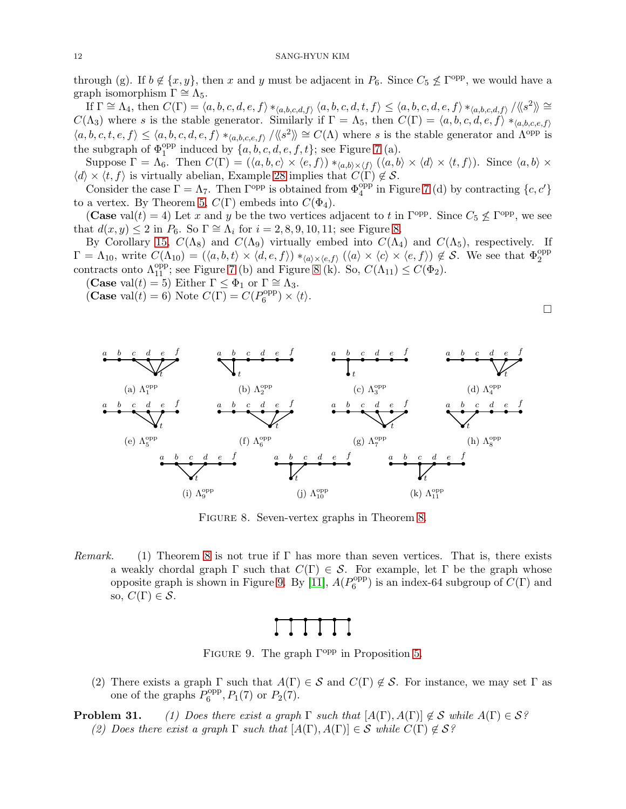through (g). If  $b \notin \{x, y\}$ , then x and y must be adjacent in  $P_6$ . Since  $C_5 \nleq \Gamma^{opp}$ , we would have a graph isomorphism  $\Gamma \cong \Lambda_5$ .

 $\overline{\text{If}} \Gamma \cong \Lambda_4, \text{ then } C(\Gamma) = \langle a, b, c, d, e, f \rangle *_{\langle a, b, c, d, f \rangle} \langle a, b, c, d, t, f \rangle \leq \langle a, b, c, d, e, f \rangle *_{\langle a, b, c, d, f \rangle} \langle \langle s^2 \rangle \rangle \cong$  $C(\Lambda_3)$  where s is the stable generator. Similarly if  $\Gamma = \Lambda_5$ , then  $C(\Gamma) = \langle a, b, c, d, e, f \rangle *_{\langle a, b, c, e, f \rangle}$  $\langle a, b, c, t, e, f \rangle \leq \langle a, b, c, d, e, f \rangle *_{\langle a, b, c, e, f \rangle} / \langle \langle s^2 \rangle \rangle \cong C(\Lambda)$  where s is the stable generator and  $\Lambda^{\text{opp}}$  is the subgraph of  $\Phi_1^{\text{opp}}$  induced by  $\{a, b, c, d, e, f, t\}$ ; see Figure [7](#page-10-0) (a).

Suppose  $\Gamma = \Lambda_6$ . Then  $C(\Gamma) = (\langle a, b, c \rangle \times \langle e, f \rangle) *_{\langle a, b \rangle \times \langle f \rangle} (\langle a, b \rangle \times \langle d \rangle \times \langle t, f \rangle)$ . Since  $\langle a, b \rangle \times$  $\langle d \rangle \times \langle t, f \rangle$  is virtually abelian, Example [28](#page-9-3) implies that  $C(\Gamma) \notin \mathcal{S}$ .

Consider the case  $\Gamma = \Lambda_7$ . Then  $\Gamma^{\text{opp}}$  is obtained from  $\Phi_4^{\text{opp}}$  in Figure [7](#page-10-0) (d) by contracting  $\{c, c'\}$ to a vertex. By Theorem [5,](#page-1-0)  $C(\Gamma)$  embeds into  $C(\Phi_4)$ .

(Case val(t) = 4) Let x and y be the two vertices adjacent to t in  $\Gamma^{\text{opp}}$ . Since  $C_5 \nleq \Gamma^{\text{opp}}$ , we see that  $d(x, y) \leq 2$  in  $P_6$ . So  $\Gamma \cong \Lambda_i$  for  $i = 2, 8, 9, 10, 11$ ; see Figure [8.](#page-11-0)

By Corollary [15,](#page-5-2)  $C(\Lambda_8)$  and  $C(\Lambda_9)$  virtually embed into  $C(\Lambda_4)$  and  $C(\Lambda_5)$ , respectively. If  $\Gamma = \Lambda_{10}$ , write  $C(\Lambda_{10}) = (\langle a, b, t \rangle \times \langle d, e, f \rangle) *_{\langle a \rangle \times \langle e, f \rangle} (\langle a \rangle \times \langle c \rangle \times \langle e, f \rangle) \notin S$ . We see that  $\Phi_2^{\text{opp}}$ contracts onto  $\Lambda_{11}^{\text{opp}}$ ; see Figure [7](#page-10-0) (b) and Figure [8](#page-11-0) (k). So,  $C(\Lambda_{11}) \leq C(\Phi_2)$ .

(Case val $(t) = 5$ ) Either  $\Gamma \leq \Phi_1$  or  $\Gamma \cong \Lambda_3$ .

(Case val(t) = 6) Note  $C(\Gamma) = C(P_6^{\text{opp}})$  $b_{6}^{\text{opp}}\rangle\times\langle t\rangle.$ 

<span id="page-11-0"></span>

FIGURE [8.](#page-1-1) Seven-vertex graphs in Theorem 8.

<span id="page-11-1"></span>*Remark.* (1) Theorem [8](#page-1-1) is not true if Γ has more than seven vertices. That is, there exists a weakly chordal graph  $\Gamma$  such that  $C(\Gamma) \in \mathcal{S}$ . For example, let  $\Gamma$  be the graph whose opposite graph is shown in Figure [9.](#page-11-1) By [\[11\]](#page-13-14),  $A(P_6^{\text{opp}})$  $_{6}^{\text{opp}}$ ) is an index-64 subgroup of  $C(\Gamma)$  and so,  $C(\Gamma) \in \mathcal{S}$ .

FIGURE 9. The graph  $\Gamma^{\text{opp}}$  in Proposition [5.](#page-11-0)

(2) There exists a graph  $\Gamma$  such that  $A(\Gamma) \in \mathcal{S}$  and  $C(\Gamma) \notin \mathcal{S}$ . For instance, we may set  $\Gamma$  as one of the graphs  $P_6^{\text{opp}}$  $P_6^{\text{opp}}, P_1(7) \text{ or } P_2(7).$ 

**Problem 31.** *(1) Does there exist a graph*  $\Gamma$  *such that*  $[A(\Gamma), A(\Gamma)] \notin S$  *while*  $A(\Gamma) \in S$ ? *(2) Does there exist a graph*  $\Gamma$  *such that*  $[A(\Gamma), A(\Gamma)] \in S$  *while*  $C(\Gamma) \notin S$ ?

 $\Box$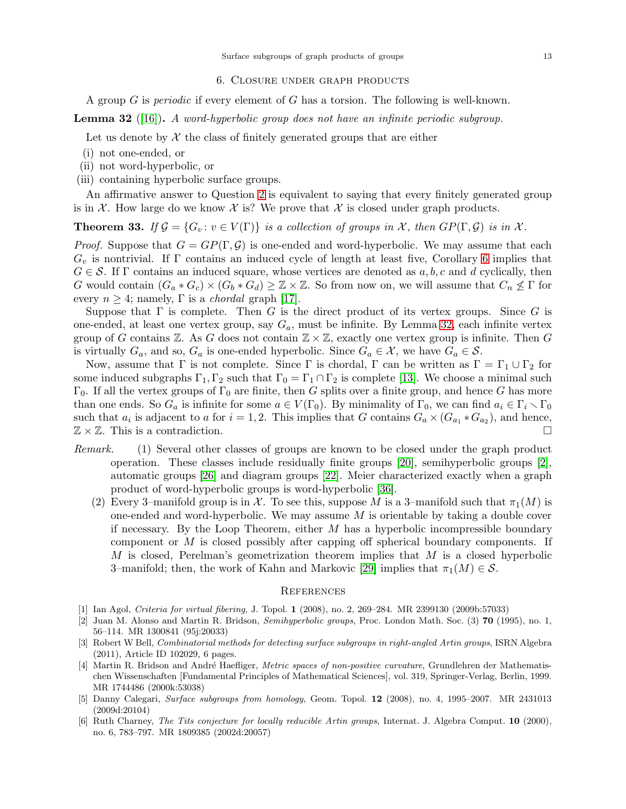#### 6. Closure under graph products

<span id="page-12-2"></span>A group G is *periodic* if every element of G has a torsion. The following is well-known.

<span id="page-12-6"></span>Lemma 32 ([\[16\]](#page-13-24)). *A word-hyperbolic group does not have an infinite periodic subgroup.*

Let us denote by  $\mathcal X$  the class of finitely generated groups that are either

- (i) not one-ended, or
- (ii) not word-hyperbolic, or
- (iii) containing hyperbolic surface groups.

An affirmative answer to Question [2](#page-0-1) is equivalent to saying that every finitely generated group is in X. How large do we know X is? We prove that X is closed under graph products.

**Theorem 33.** If  $\mathcal{G} = \{G_v : v \in V(\Gamma)\}\$ is a collection of groups in X, then  $GP(\Gamma, \mathcal{G})$  is in X.

*Proof.* Suppose that  $G = GP(\Gamma, \mathcal{G})$  is one-ended and word-hyperbolic. We may assume that each  $G_v$  is nontrivial. If  $\Gamma$  contains an induced cycle of length at least five, Corollary [6](#page-1-2) implies that  $G \in \mathcal{S}$ . If  $\Gamma$  contains an induced square, whose vertices are denoted as  $a, b, c$  and d cyclically, then G would contain  $(G_a * G_c) \times (G_b * G_d) \geq \mathbb{Z} \times \mathbb{Z}$ . So from now on, we will assume that  $C_n \not\leq \Gamma$  for every  $n \geq 4$ ; namely,  $\Gamma$  is a *chordal* graph [\[17\]](#page-13-25).

Suppose that  $\Gamma$  is complete. Then G is the direct product of its vertex groups. Since G is one-ended, at least one vertex group, say  $G_a$ , must be infinite. By Lemma [32,](#page-12-6) each infinite vertex group of G contains  $\mathbb{Z}$ . As G does not contain  $\mathbb{Z} \times \mathbb{Z}$ , exactly one vertex group is infinite. Then G is virtually  $G_a$ , and so,  $G_a$  is one-ended hyperbolic. Since  $G_a \in \mathcal{X}$ , we have  $G_a \in \mathcal{S}$ .

Now, assume that  $\Gamma$  is not complete. Since  $\Gamma$  is chordal,  $\Gamma$  can be written as  $\Gamma = \Gamma_1 \cup \Gamma_2$  for some induced subgraphs  $\Gamma_1, \Gamma_2$  such that  $\Gamma_0 = \Gamma_1 \cap \Gamma_2$  is complete [\[13\]](#page-13-26). We choose a minimal such  $\Gamma_0$ . If all the vertex groups of  $\Gamma_0$  are finite, then G splits over a finite group, and hence G has more than one ends. So  $G_a$  is infinite for some  $a \in V(\Gamma_0)$ . By minimality of  $\Gamma_0$ , we can find  $a_i \in \Gamma_i \setminus \Gamma_0$ such that  $a_i$  is adjacent to a for  $i = 1, 2$ . This implies that G contains  $G_a \times (G_{a_1} * G_{a_2})$ , and hence,  $\mathbb{Z} \times \mathbb{Z}$ . This is a contradiction.

- *Remark.* (1) Several other classes of groups are known to be closed under the graph product operation. These classes include residually finite groups [\[20\]](#page-13-21), semihyperbolic groups [\[2\]](#page-12-7), automatic groups [\[26\]](#page-13-27) and diagram groups [\[22\]](#page-13-28). Meier characterized exactly when a graph product of word-hyperbolic groups is word-hyperbolic [\[36\]](#page-13-29).
	- (2) Every 3–manifold group is in X. To see this, suppose M is a 3–manifold such that  $\pi_1(M)$  is one-ended and word-hyperbolic. We may assume  $M$  is orientable by taking a double cover if necessary. By the Loop Theorem, either  $M$  has a hyperbolic incompressible boundary component or M is closed possibly after capping off spherical boundary components. If  $M$  is closed, Perelman's geometrization theorem implies that  $M$  is a closed hyperbolic 3–manifold; then, the work of Kahn and Markovic [\[29\]](#page-13-4) implies that  $\pi_1(M) \in \mathcal{S}$ .

## **REFERENCES**

- <span id="page-12-7"></span><span id="page-12-5"></span>[1] Ian Agol, *Criteria for virtual fibering*, J. Topol. 1 (2008), no. 2, 269–284. MR 2399130 (2009b:57033)
- [2] Juan M. Alonso and Martin R. Bridson, *Semihyperbolic groups*, Proc. London Math. Soc. (3) 70 (1995), no. 1, 56–114. MR 1300841 (95j:20033)
- <span id="page-12-1"></span>[3] Robert W Bell, *Combinatorial methods for detecting surface subgroups in right-angled Artin groups*, ISRN Algebra (2011), Article ID 102029, 6 pages.
- <span id="page-12-4"></span>[4] Martin R. Bridson and Andr´e Haefliger, *Metric spaces of non-positive curvature*, Grundlehren der Mathematischen Wissenschaften [Fundamental Principles of Mathematical Sciences], vol. 319, Springer-Verlag, Berlin, 1999. MR 1744486 (2000k:53038)
- <span id="page-12-0"></span>[5] Danny Calegari, *Surface subgroups from homology*, Geom. Topol. 12 (2008), no. 4, 1995–2007. MR 2431013 (2009d:20104)
- <span id="page-12-3"></span>[6] Ruth Charney, *The Tits conjecture for locally reducible Artin groups*, Internat. J. Algebra Comput. 10 (2000), no. 6, 783–797. MR 1809385 (2002d:20057)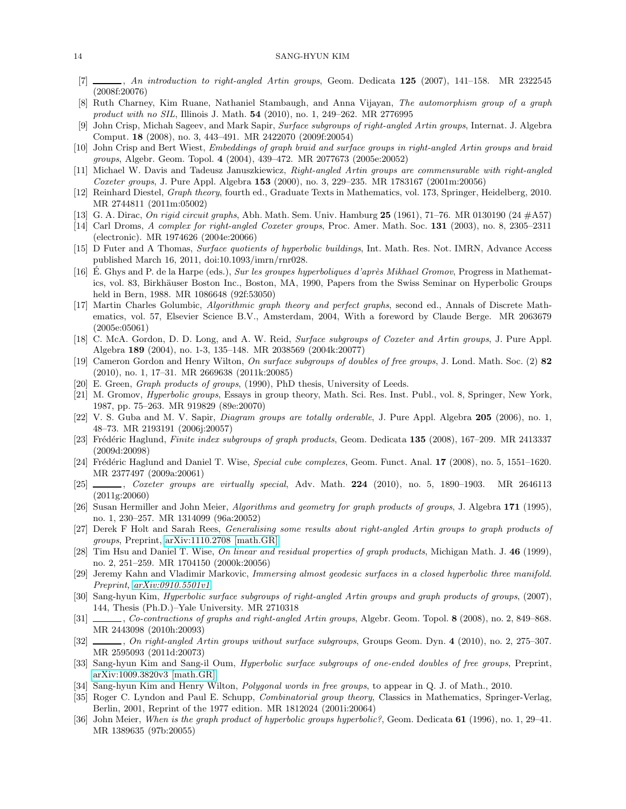- <span id="page-13-16"></span><span id="page-13-7"></span>[7] , *An introduction to right-angled Artin groups*, Geom. Dedicata 125 (2007), 141–158. MR 2322545 (2008f:20076)
- <span id="page-13-10"></span>[8] Ruth Charney, Kim Ruane, Nathaniel Stambaugh, and Anna Vijayan, *The automorphism group of a graph product with no SIL*, Illinois J. Math. 54 (2010), no. 1, 249–262. MR 2776995
- <span id="page-13-19"></span>[9] John Crisp, Michah Sageev, and Mark Sapir, *Surface subgroups of right-angled Artin groups*, Internat. J. Algebra Comput. 18 (2008), no. 3, 443–491. MR 2422070 (2009f:20054)
- <span id="page-13-14"></span>[10] John Crisp and Bert Wiest, *Embeddings of graph braid and surface groups in right-angled Artin groups and braid groups*, Algebr. Geom. Topol. 4 (2004), 439–472. MR 2077673 (2005e:20052)
- [11] Michael W. Davis and Tadeusz Januszkiewicz, *Right-angled Artin groups are commensurable with right-angled Coxeter groups*, J. Pure Appl. Algebra 153 (2000), no. 3, 229–235. MR 1783167 (2001m:20056)
- <span id="page-13-8"></span>[12] Reinhard Diestel, *Graph theory*, fourth ed., Graduate Texts in Mathematics, vol. 173, Springer, Heidelberg, 2010. MR 2744811 (2011m:05002)
- <span id="page-13-26"></span><span id="page-13-18"></span>[13] G. A. Dirac, *On rigid circuit graphs*, Abh. Math. Sem. Univ. Hamburg 25 (1961), 71–76. MR 0130190 (24 #A57)
- [14] Carl Droms, *A complex for right-angled Coxeter groups*, Proc. Amer. Math. Soc. 131 (2003), no. 8, 2305–2311 (electronic). MR 1974626 (2004e:20066)
- <span id="page-13-24"></span><span id="page-13-13"></span>[15] D Futer and A Thomas, *Surface quotients of hyperbolic buildings*, Int. Math. Res. Not. IMRN, Advance Access published March 16, 2011, doi:10.1093/imrn/rnr028.
- [16] E. Ghys and P. de la Harpe (eds.), Sur les groupes hyperboliques d'après Mikhael Gromov, Progress in Mathematics, vol. 83, Birkhäuser Boston Inc., Boston, MA, 1990, Papers from the Swiss Seminar on Hyperbolic Groups held in Bern, 1988. MR 1086648 (92f:53050)
- <span id="page-13-25"></span>[17] Martin Charles Golumbic, *Algorithmic graph theory and perfect graphs*, second ed., Annals of Discrete Mathematics, vol. 57, Elsevier Science B.V., Amsterdam, 2004, With a foreword by Claude Berge. MR 2063679 (2005e:05061)
- <span id="page-13-17"></span>[18] C. McA. Gordon, D. D. Long, and A. W. Reid, *Surface subgroups of Coxeter and Artin groups*, J. Pure Appl. Algebra 189 (2004), no. 1-3, 135–148. MR 2038569 (2004k:20077)
- <span id="page-13-1"></span>[19] Cameron Gordon and Henry Wilton, *On surface subgroups of doubles of free groups*, J. Lond. Math. Soc. (2) 82 (2010), no. 1, 17–31. MR 2669638 (2011k:20085)
- <span id="page-13-21"></span><span id="page-13-0"></span>[20] E. Green, *Graph products of groups*, (1990), PhD thesis, University of Leeds.
- [21] M. Gromov, *Hyperbolic groups*, Essays in group theory, Math. Sci. Res. Inst. Publ., vol. 8, Springer, New York, 1987, pp. 75–263. MR 919829 (89e:20070)
- <span id="page-13-28"></span>[22] V. S. Guba and M. V. Sapir, *Diagram groups are totally orderable*, J. Pure Appl. Algebra 205 (2006), no. 1, 48–73. MR 2193191 (2006j:20057)
- <span id="page-13-15"></span>[23] Frédéric Haglund, *Finite index subgroups of graph products*, Geom. Dedicata 135 (2008), 167–209. MR 2413337 (2009d:20098)
- <span id="page-13-5"></span>[24] Frédéric Haglund and Daniel T. Wise, *Special cube complexes*, Geom. Funct. Anal. 17 (2008), no. 5, 1551–1620. MR 2377497 (2009a:20061)
- <span id="page-13-6"></span>[25] , *Coxeter groups are virtually special*, Adv. Math. 224 (2010), no. 5, 1890–1903. MR 2646113 (2011g:20060)
- <span id="page-13-27"></span>[26] Susan Hermiller and John Meier, *Algorithms and geometry for graph products of groups*, J. Algebra 171 (1995), no. 1, 230–257. MR 1314099 (96a:20052)
- <span id="page-13-12"></span>[27] Derek F Holt and Sarah Rees, *Generalising some results about right-angled Artin groups to graph products of groups*, Preprint, [arXiv:1110.2708 \[math.GR\].](http://arxiv.org/abs/1110.2708v3)
- <span id="page-13-22"></span>[28] Tim Hsu and Daniel T. Wise, *On linear and residual properties of graph products*, Michigan Math. J. 46 (1999), no. 2, 251–259. MR 1704150 (2000k:20056)
- <span id="page-13-4"></span>[29] Jeremy Kahn and Vladimir Markovic, *Immersing almost geodesic surfaces in a closed hyperbolic three manifold. Preprint, [arXiv:0910.5501v1](http://arxiv.org/abs/0910.5501)*.
- <span id="page-13-11"></span>[30] Sang-hyun Kim, *Hyperbolic surface subgroups of right-angled Artin groups and graph products of groups*, (2007), 144, Thesis (Ph.D.)–Yale University. MR 2710318
- <span id="page-13-9"></span>[31] , *Co-contractions of graphs and right-angled Artin groups*, Algebr. Geom. Topol. 8 (2008), no. 2, 849–868. MR 2443098 (2010h:20093)
- <span id="page-13-20"></span>[32] , *On right-angled Artin groups without surface subgroups*, Groups Geom. Dyn. 4 (2010), no. 2, 275–307. MR 2595093 (2011d:20073)
- <span id="page-13-3"></span>[33] Sang-hyun Kim and Sang-il Oum, *Hyperbolic surface subgroups of one-ended doubles of free groups*, Preprint, [arXiv:1009.3820v3 \[math.GR\].](http://arxiv.org/abs/1009.3820)
- <span id="page-13-23"></span><span id="page-13-2"></span>[34] Sang-hyun Kim and Henry Wilton, *Polygonal words in free groups*, to appear in Q. J. of Math., 2010.
- [35] Roger C. Lyndon and Paul E. Schupp, *Combinatorial group theory*, Classics in Mathematics, Springer-Verlag, Berlin, 2001, Reprint of the 1977 edition. MR 1812024 (2001i:20064)
- <span id="page-13-29"></span>[36] John Meier, *When is the graph product of hyperbolic groups hyperbolic?*, Geom. Dedicata 61 (1996), no. 1, 29–41. MR 1389635 (97b:20055)